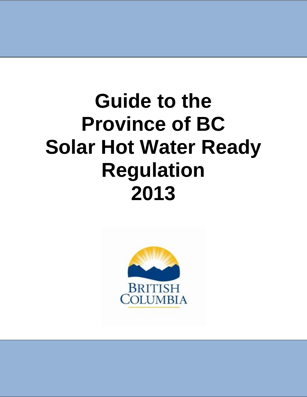# **Guide to the Province of BC Solar Hot Water Ready Regulation 2013**

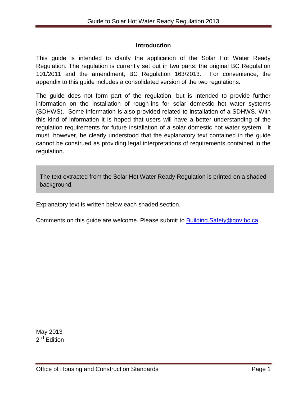## **Introduction**

This guide is intended to clarify the application of the Solar Hot Water Ready Regulation. The regulation is currently set out in two parts: the original BC Regulation 101/2011 and the amendment, BC Regulation 163/2013. For convenience, the appendix to this guide includes a consolidated version of the two regulations.

The guide does not form part of the regulation, but is intended to provide further information on the installation of rough-ins for solar domestic hot water systems (SDHWS). Some information is also provided related to installation of a SDHWS. With this kind of information it is hoped that users will have a better understanding of the regulation requirements for future installation of a solar domestic hot water system. It must, however, be clearly understood that the explanatory text contained in the guide cannot be construed as providing legal interpretations of requirements contained in the regulation.

The text extracted from the Solar Hot Water Ready Regulation is printed on a shaded background.

Explanatory text is written below each shaded section.

Comments on this guide are welcome. Please submit to **Building.Safety@gov.bc.ca.**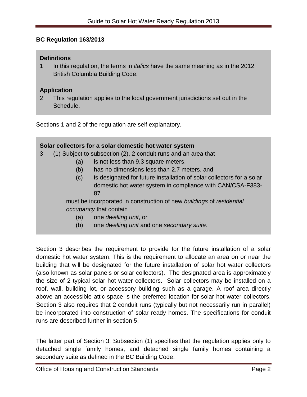## **BC Regulation 163/2013**

#### **Definitions**

1 In this regulation, the terms in *italics* have the same meaning as in the 2012 British Columbia Building Code.

## **Application**

2 This regulation applies to the local government jurisdictions set out in the Schedule.

Sections 1 and 2 of the regulation are self explanatory.

| Solar collectors for a solar domestic hot water system                       |
|------------------------------------------------------------------------------|
| (1) Subject to subsection (2), 2 conduit runs and an area that<br>3          |
| is not less than 9.3 square meters,<br>(a)                                   |
| has no dimensions less than 2.7 meters, and<br>(b)                           |
| is designated for future installation of solar collectors for a solar<br>(c) |
| domestic hot water system in compliance with CAN/CSA-F383-                   |
| 87                                                                           |
| must be incorporated in construction of new buildings of residential         |
| occupancy that contain                                                       |
| one dwelling unit, or<br>(a)                                                 |
| one dwelling unit and one secondary suite.<br>(b)                            |

Section 3 describes the requirement to provide for the future installation of a solar domestic hot water system. This is the requirement to allocate an area on or near the building that will be designated for the future installation of solar hot water collectors (also known as solar panels or solar collectors). The designated area is approximately the size of 2 typical solar hot water collectors. Solar collectors may be installed on a roof, wall, building lot, or accessory building such as a garage. A roof area directly above an accessible attic space is the preferred location for solar hot water collectors. Section 3 also requires that 2 conduit runs (typically but not necessarily run in parallel) be incorporated into construction of solar ready homes. The specifications for conduit runs are described further in section 5.

The latter part of Section 3, Subsection (1) specifies that the regulation applies only to detached single family homes, and detached single family homes containing a secondary suite as defined in the BC Building Code.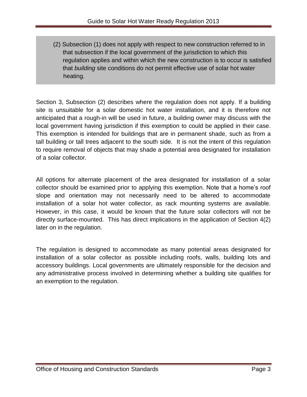(2) Subsection (1) does not apply with respect to new construction referred to in that subsection if the local government of the jurisdiction to which this regulation applies and within which the new construction is to occur is satisfied that *building* site conditions do not permit effective use of solar hot water heating.

Section 3, Subsection (2) describes where the regulation does not apply. If a building site is unsuitable for a solar domestic hot water installation, and it is therefore not anticipated that a rough-in will be used in future, a building owner may discuss with the local government having jurisdiction if this exemption to could be applied in their case. This exemption is intended for buildings that are in permanent shade, such as from a tall building or tall trees adjacent to the south side. It is not the intent of this regulation to require removal of objects that may shade a potential area designated for installation of a solar collector.

All options for alternate placement of the area designated for installation of a solar collector should be examined prior to applying this exemption. Note that a home's roof slope and orientation may not necessarily need to be altered to accommodate installation of a solar hot water collector, as rack mounting systems are available. However, in this case, it would be known that the future solar collectors will not be directly surface-mounted. This has direct implications in the application of Section 4(2) later on in the regulation.

The regulation is designed to accommodate as many potential areas designated for installation of a solar collector as possible including roofs, walls, building lots and accessory buildings. Local governments are ultimately responsible for the decision and any administrative process involved in determining whether a building site qualifies for an exemption to the regulation.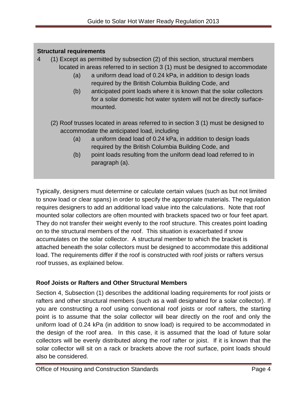# **Structural requirements**

- 4 (1) Except as permitted by subsection (2) of this section, structural members located in areas referred to in section 3 (1) must be designed to accommodate
	- (a) a uniform dead load of 0.24 kPa, in addition to design loads required by the British Columbia Building Code, and
	- (b) anticipated point loads where it is known that the solar collectors for a solar domestic hot water system will not be directly surfacemounted.
	- (2) Roof trusses located in areas referred to in section 3 (1) must be designed to accommodate the anticipated load, including
		- (a) a uniform dead load of 0.24 kPa, in addition to design loads required by the British Columbia Building Code, and
		- (b) point loads resulting from the uniform dead load referred to in paragraph (a).

Typically, designers must determine or calculate certain values (such as but not limited to snow load or clear spans) in order to specify the appropriate materials. The regulation requires designers to add an additional load value into the calculations. Note that roof mounted solar collectors are often mounted with brackets spaced two or four feet apart. They do not transfer their weight evenly to the roof structure. This creates point loading on to the structural members of the roof. This situation is exacerbated if snow accumulates on the solar collector. A structural member to which the bracket is attached beneath the solar collectors must be designed to accommodate this additional load. The requirements differ if the roof is constructed with roof joists or rafters versus roof trusses, as explained below.

# **Roof Joists or Rafters and Other Structural Members**

Section 4, Subsection (1) describes the additional loading requirements for roof joists or rafters and other structural members (such as a wall designated for a solar collector). If you are constructing a roof using conventional roof joists or roof rafters, the starting point is to assume that the solar collector will bear directly on the roof and only the uniform load of 0.24 kPa (in addition to snow load) is required to be accommodated in the design of the roof area. In this case, it is assumed that the load of future solar collectors will be evenly distributed along the roof rafter or joist. If it is known that the solar collector will sit on a rack or brackets above the roof surface, point loads should also be considered.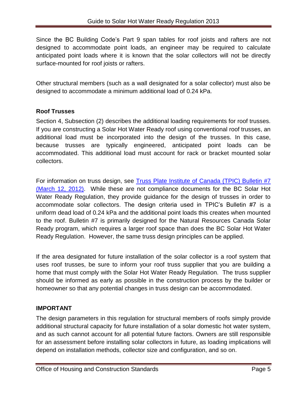Since the BC Building Code's Part 9 span tables for roof joists and rafters are not designed to accommodate point loads, an engineer may be required to calculate anticipated point loads where it is known that the solar collectors will not be directly surface-mounted for roof joists or rafters.

Other structural members (such as a wall designated for a solar collector) must also be designed to accommodate a minimum additional load of 0.24 kPa.

# **Roof Trusses**

Section 4, Subsection (2) describes the additional loading requirements for roof trusses. If you are constructing a Solar Hot Water Ready roof using conventional roof trusses, an additional load must be incorporated into the design of the trusses. In this case, because trusses are typically engineered, anticipated point loads can be accommodated. This additional load must account for rack or bracket mounted solar collectors.

For information on truss design, see [Truss Plate Institute of Canada \(TPIC\) Bulletin #7](http://www.tpic.ca/english/)  [\(March 12, 2012\).](http://www.tpic.ca/english/) While these are not compliance documents for the BC Solar Hot Water Ready Regulation, they provide guidance for the design of trusses in order to accommodate solar collectors. The design criteria used in TPIC's Bulletin #7 is a uniform dead load of 0.24 kPa and the additional point loads this creates when mounted to the roof. Bulletin #7 is primarily designed for the Natural Resources Canada Solar Ready program, which requires a larger roof space than does the BC Solar Hot Water Ready Regulation. However, the same truss design principles can be applied.

If the area designated for future installation of the solar collector is a roof system that uses roof trusses, be sure to inform your roof truss supplier that you are building a home that must comply with the Solar Hot Water Ready Regulation. The truss supplier should be informed as early as possible in the construction process by the builder or homeowner so that any potential changes in truss design can be accommodated.

# **IMPORTANT**

The design parameters in this regulation for structural members of roofs simply provide additional structural capacity for future installation of a solar domestic hot water system, and as such cannot account for all potential future factors. Owners are still responsible for an assessment before installing solar collectors in future, as loading implications will depend on installation methods, collector size and configuration, and so on.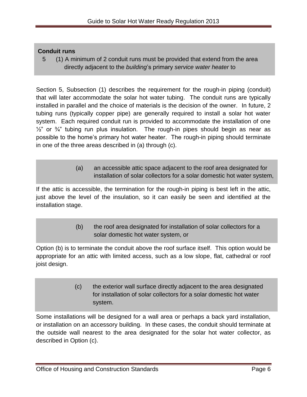## **Conduit runs**

5 (1) A minimum of 2 conduit runs must be provided that extend from the area directly adjacent to the *building*'s primary *service water heater* to

Section 5, Subsection (1) describes the requirement for the rough-in piping (conduit) that will later accommodate the solar hot water tubing. The conduit runs are typically installed in parallel and the choice of materials is the decision of the owner. In future, 2 tubing runs (typically copper pipe) are generally required to install a solar hot water system. Each required conduit run is provided to accommodate the installation of one  $\frac{1}{2}$ " or  $\frac{3}{4}$ " tubing run plus insulation. The rough-in pipes should begin as near as possible to the home's primary hot water heater. The rough-in piping should terminate in one of the three areas described in (a) through (c).

> (a) an accessible attic space adjacent to the roof area designated for installation of solar collectors for a solar domestic hot water system,

If the attic is accessible, the termination for the rough-in piping is best left in the attic, just above the level of the insulation, so it can easily be seen and identified at the installation stage.

> (b) the roof area designated for installation of solar collectors for a solar domestic hot water system, or

Option (b) is to terminate the conduit above the roof surface itself. This option would be appropriate for an attic with limited access, such as a low slope, flat, cathedral or roof joist design.

> (c) the exterior wall surface directly adjacent to the area designated for installation of solar collectors for a solar domestic hot water system.

Some installations will be designed for a wall area or perhaps a back yard installation, or installation on an accessory building. In these cases, the conduit should terminate at the outside wall nearest to the area designated for the solar hot water collector, as described in Option (c).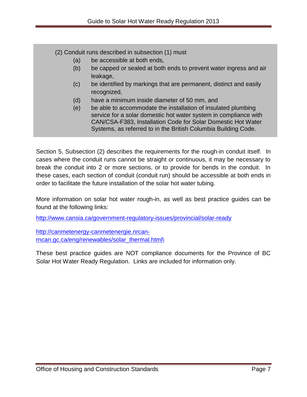(2) Conduit runs described in subsection (1) must

- (a) be accessible at both ends,
- (b) be capped or sealed at both ends to prevent water ingress and air leakage,
- (c) be identified by markings that are permanent, distinct and easily recognized,
- (d) have a minimum inside diameter of 50 mm, and
- (e) be able to accommodate the installation of insulated plumbing service for a solar domestic hot water system in compliance with CAN/CSA-F383, Installation Code for Solar Domestic Hot Water Systems, as referred to in the British Columbia Building Code.

Section 5, Subsection (2) describes the requirements for the rough-in conduit itself. In cases where the conduit runs cannot be straight or continuous, it may be necessary to break the conduit into 2 or more sections, or to provide for bends in the conduit. In these cases, each section of conduit (conduit run) should be accessible at both ends in order to facilitate the future installation of the solar hot water tubing.

More information on solar hot water rough-in, as well as best practice guides can be found at the following links:

<http://www.cansia.ca/government-regulatory-issues/provincial/solar-ready>

[http://canmetenergy-canmetenergie.nrcan](http://canmetenergy-canmetenergie.nrcan-rncan.gc.ca/eng/renewables/solar_thermal.html/)[rncan.gc.ca/eng/renewables/solar\\_thermal.html\](http://canmetenergy-canmetenergie.nrcan-rncan.gc.ca/eng/renewables/solar_thermal.html/)

These best practice guides are NOT compliance documents for the Province of BC Solar Hot Water Ready Regulation. Links are included for information only.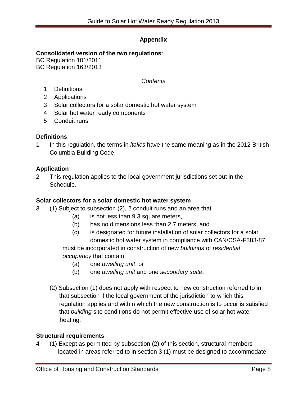# **Appendix**

## **Consolidated version of the two regulations**:

BC Regulation 101/2011 BC Regulation 163/2013

## *Contents*

- 1 Definitions
- 2 Applications
- 3 Solar collectors for a solar domestic hot water system
- 4 Solar hot water ready components
- 5 Conduit runs

## **Definitions**

1 In this regulation, the terms in *italics* have the same meaning as in the 2012 British Columbia Building Code.

## **Application**

2 This regulation applies to the local government jurisdictions set out in the Schedule.

## **Solar collectors for a solar domestic hot water system**

- 3 (1) Subject to subsection (2), 2 conduit runs and an area that
	- (a) is not less than 9.3 square meters,
	- (b) has no dimensions less than 2.7 meters, and
	- (c) is designated for future installation of solar collectors for a solar domestic hot water system in compliance with CAN/CSA-F383-87 must be incorporated in construction of new *buildings* of *residential occupancy* that contain
		- (a) one *dwelling unit*, or
		- (b) one *dwelling unit* and one *secondary suite*.
	- (2) Subsection (1) does not apply with respect to new construction referred to in that subsection if the local government of the jurisdiction to which this regulation applies and within which the new construction is to occur is satisfied that *building* site conditions do not permit effective use of solar hot water heating.

## **Structural requirements**

4 (1) Except as permitted by subsection (2) of this section, structural members located in areas referred to in section 3 (1) must be designed to accommodate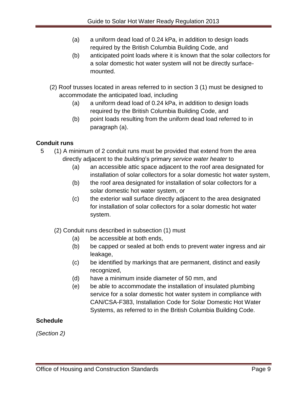- (a) a uniform dead load of 0.24 kPa, in addition to design loads required by the British Columbia Building Code, and
- (b) anticipated point loads where it is known that the solar collectors for a solar domestic hot water system will not be directly surfacemounted.
- (2) Roof trusses located in areas referred to in section 3 (1) must be designed to accommodate the anticipated load, including
	- (a) a uniform dead load of 0.24 kPa, in addition to design loads required by the British Columbia Building Code, and
	- (b) point loads resulting from the uniform dead load referred to in paragraph (a).

# **Conduit runs**

- 5 (1) A minimum of 2 conduit runs must be provided that extend from the area directly adjacent to the *building*'s primary *service water heater* to
	- (a) an accessible attic space adjacent to the roof area designated for installation of solar collectors for a solar domestic hot water system,
	- (b) the roof area designated for installation of solar collectors for a solar domestic hot water system, or
	- (c) the exterior wall surface directly adjacent to the area designated for installation of solar collectors for a solar domestic hot water system.
	- (2) Conduit runs described in subsection (1) must
		- (a) be accessible at both ends,
		- (b) be capped or sealed at both ends to prevent water ingress and air leakage,
		- (c) be identified by markings that are permanent, distinct and easily recognized,
		- (d) have a minimum inside diameter of 50 mm, and
		- (e) be able to accommodate the installation of insulated plumbing service for a solar domestic hot water system in compliance with CAN/CSA-F383, Installation Code for Solar Domestic Hot Water Systems, as referred to in the British Columbia Building Code.

# **Schedule**

*(Section 2)*